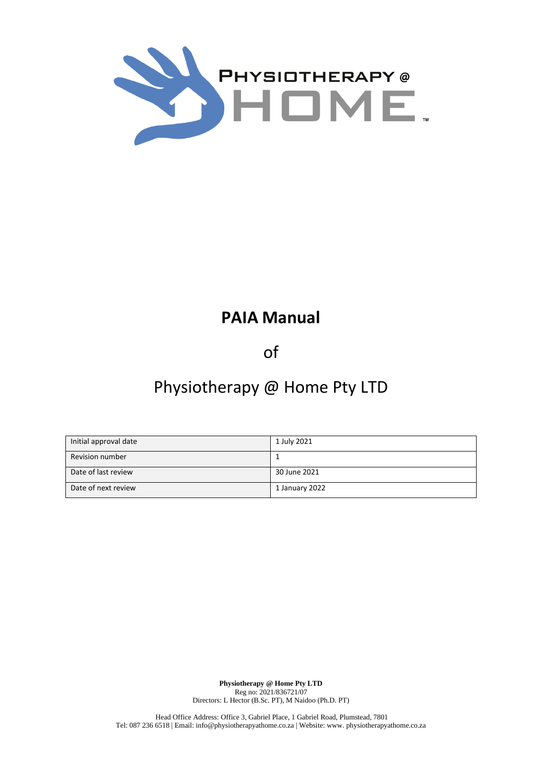

# **PAIA Manual**

of

# Physiotherapy @ Home Pty LTD

| Initial approval date  | 1 July 2021    |
|------------------------|----------------|
| <b>Revision number</b> |                |
| Date of last review    | 30 June 2021   |
| Date of next review    | 1 January 2022 |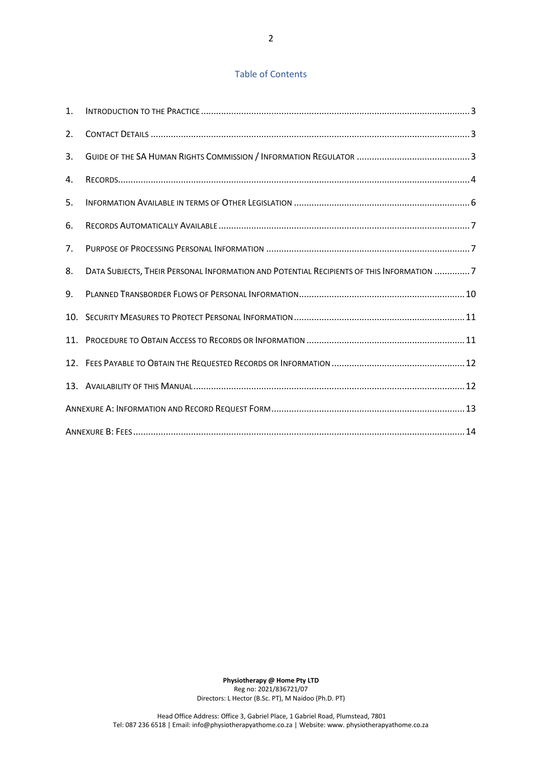# Table of Contents

| 1.  |                                                                                          |  |
|-----|------------------------------------------------------------------------------------------|--|
| 2.  |                                                                                          |  |
| 3.  |                                                                                          |  |
| 4.  |                                                                                          |  |
| 5.  |                                                                                          |  |
| 6.  |                                                                                          |  |
| 7.  |                                                                                          |  |
| 8.  | DATA SUBJECTS, THEIR PERSONAL INFORMATION AND POTENTIAL RECIPIENTS OF THIS INFORMATION 7 |  |
| 9.  |                                                                                          |  |
|     |                                                                                          |  |
| 11. |                                                                                          |  |
|     |                                                                                          |  |
|     |                                                                                          |  |
|     |                                                                                          |  |
|     |                                                                                          |  |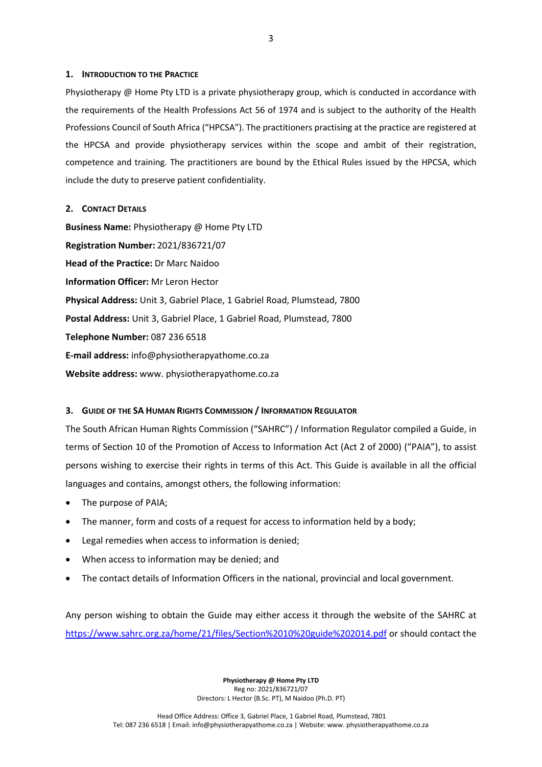## <span id="page-2-0"></span>**1. INTRODUCTION TO THE PRACTICE**

Physiotherapy @ Home Pty LTD is a private physiotherapy group, which is conducted in accordance with the requirements of the Health Professions Act 56 of 1974 and is subject to the authority of the Health Professions Council of South Africa ("HPCSA"). The practitioners practising at the practice are registered at the HPCSA and provide physiotherapy services within the scope and ambit of their registration, competence and training. The practitioners are bound by the Ethical Rules issued by the HPCSA, which include the duty to preserve patient confidentiality.

#### <span id="page-2-1"></span>**2. CONTACT DETAILS**

**Business Name:** Physiotherapy @ Home Pty LTD **Registration Number:** 2021/836721/07 **Head of the Practice:** Dr Marc Naidoo **Information Officer:** Mr Leron Hector **Physical Address:** Unit 3, Gabriel Place, 1 Gabriel Road, Plumstead, 7800 **Postal Address:** Unit 3, Gabriel Place, 1 Gabriel Road, Plumstead, 7800 **Telephone Number:** 087 236 6518 **E-mail address:** info@physiotherapyathome.co.za **Website address:** www. physiotherapyathome.co.za

#### <span id="page-2-2"></span>**3. GUIDE OF THE SA HUMAN RIGHTS COMMISSION / INFORMATION REGULATOR**

The South African Human Rights Commission ("SAHRC") / Information Regulator compiled a Guide, in terms of Section 10 of the Promotion of Access to Information Act (Act 2 of 2000) ("PAIA"), to assist persons wishing to exercise their rights in terms of this Act. This Guide is available in all the official languages and contains, amongst others, the following information:

- The purpose of PAIA;
- The manner, form and costs of a request for access to information held by a body;
- Legal remedies when access to information is denied;
- When access to information may be denied; and
- The contact details of Information Officers in the national, provincial and local government.

Any person wishing to obtain the Guide may either access it through the website of the SAHRC at <https://www.sahrc.org.za/home/21/files/Section%2010%20guide%202014.pdf> or should contact the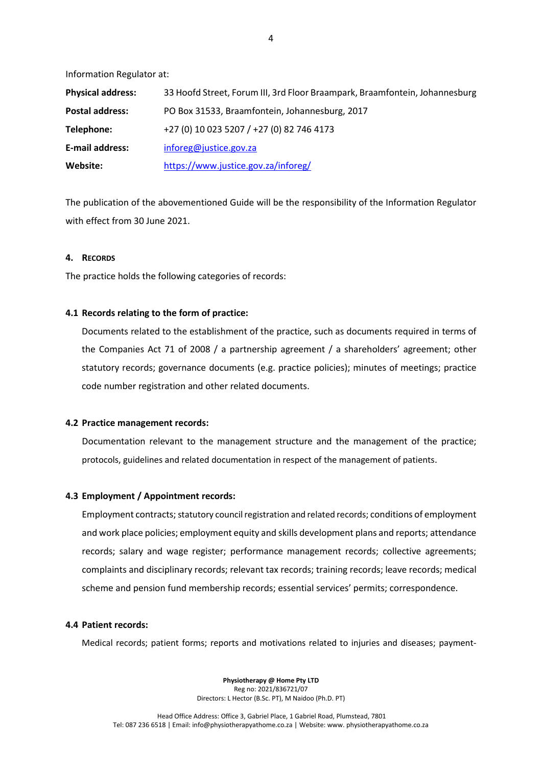Information Regulator at:

| <b>Physical address:</b> | 33 Hoofd Street, Forum III, 3rd Floor Braampark, Braamfontein, Johannesburg |
|--------------------------|-----------------------------------------------------------------------------|
| <b>Postal address:</b>   | PO Box 31533, Braamfontein, Johannesburg, 2017                              |
| Telephone:               | +27 (0) 10 023 5207 / +27 (0) 82 746 4173                                   |
| E-mail address:          | inforeg@justice.gov.za                                                      |
| Website:                 | https://www.justice.gov.za/inforeg/                                         |

The publication of the abovementioned Guide will be the responsibility of the Information Regulator with effect from 30 June 2021.

#### <span id="page-3-0"></span>**4. RECORDS**

The practice holds the following categories of records:

## **4.1 Records relating to the form of practice:**

Documents related to the establishment of the practice, such as documents required in terms of the Companies Act 71 of 2008 / a partnership agreement / a shareholders' agreement; other statutory records; governance documents (e.g. practice policies); minutes of meetings; practice code number registration and other related documents.

## **4.2 Practice management records:**

Documentation relevant to the management structure and the management of the practice; protocols, guidelines and related documentation in respect of the management of patients.

#### **4.3 Employment / Appointment records:**

Employment contracts; statutory council registration and related records; conditions of employment and work place policies; employment equity and skills development plans and reports; attendance records; salary and wage register; performance management records; collective agreements; complaints and disciplinary records; relevant tax records; training records; leave records; medical scheme and pension fund membership records; essential services' permits; correspondence.

## **4.4 Patient records:**

Medical records; patient forms; reports and motivations related to injuries and diseases; payment-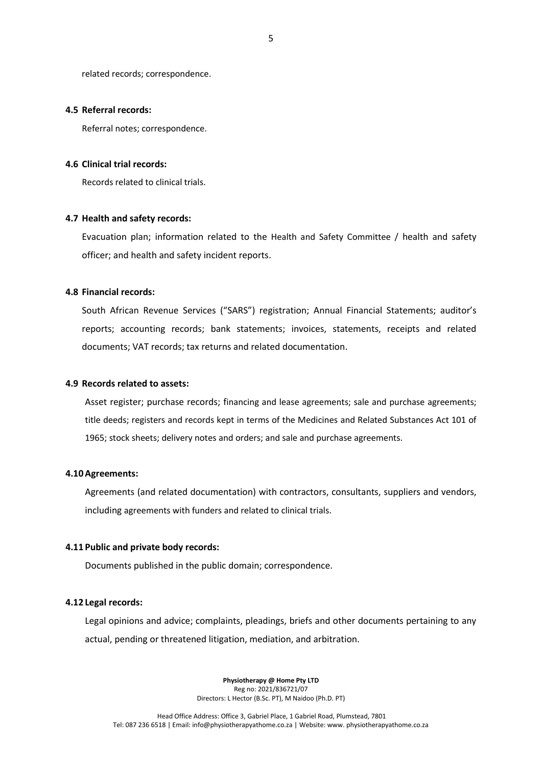related records; correspondence.

#### **4.5 Referral records:**

Referral notes; correspondence.

## **4.6 Clinical trial records:**

Records related to clinical trials.

#### **4.7 Health and safety records:**

Evacuation plan; information related to the Health and Safety Committee / health and safety officer; and health and safety incident reports.

#### **4.8 Financial records:**

South African Revenue Services ("SARS") registration; Annual Financial Statements; auditor's reports; accounting records; bank statements; invoices, statements, receipts and related documents; VAT records; tax returns and related documentation.

## **4.9 Records related to assets:**

Asset register; purchase records; financing and lease agreements; sale and purchase agreements; title deeds; registers and records kept in terms of the Medicines and Related Substances Act 101 of 1965; stock sheets; delivery notes and orders; and sale and purchase agreements.

#### **4.10Agreements:**

Agreements (and related documentation) with contractors, consultants, suppliers and vendors, including agreements with funders and related to clinical trials.

#### **4.11 Public and private body records:**

Documents published in the public domain; correspondence.

## **4.12 Legal records:**

Legal opinions and advice; complaints, pleadings, briefs and other documents pertaining to any actual, pending or threatened litigation, mediation, and arbitration.

> **Physiotherapy @ Home Pty LTD** Reg no: 2021/836721/07 Directors: L Hector (B.Sc. PT), M Naidoo (Ph.D. PT)

5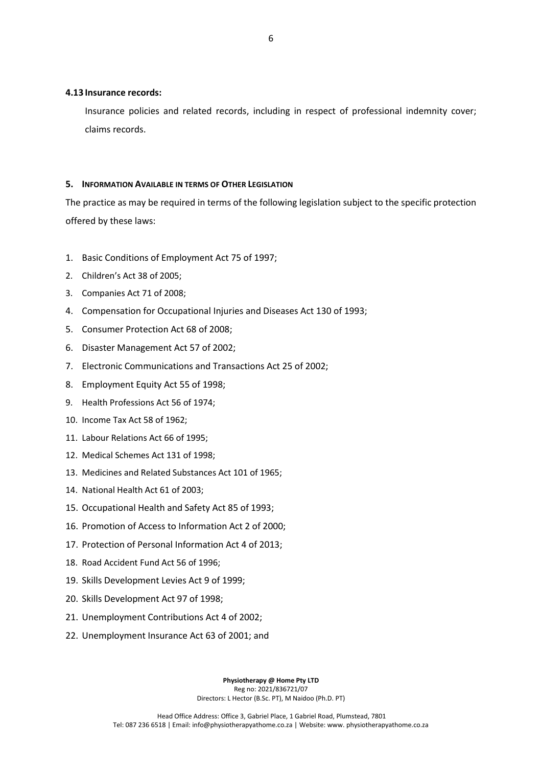## **4.13 Insurance records:**

Insurance policies and related records, including in respect of professional indemnity cover; claims records.

## <span id="page-5-0"></span>**5. INFORMATION AVAILABLE IN TERMS OF OTHER LEGISLATION**

The practice as may be required in terms of the following legislation subject to the specific protection offered by these laws:

- 1. Basic Conditions of Employment Act 75 of 1997;
- 2. Children's Act 38 of 2005;
- 3. Companies Act 71 of 2008;
- 4. Compensation for Occupational Injuries and Diseases Act 130 of 1993;
- 5. Consumer Protection Act 68 of 2008;
- 6. Disaster Management Act 57 of 2002;
- 7. Electronic Communications and Transactions Act 25 of 2002;
- 8. Employment Equity Act 55 of 1998;
- 9. Health Professions Act 56 of 1974;
- 10. Income Tax Act 58 of 1962;
- 11. Labour Relations Act 66 of 1995;
- 12. Medical Schemes Act 131 of 1998;
- 13. Medicines and Related Substances Act 101 of 1965;
- 14. National Health Act 61 of 2003;
- 15. Occupational Health and Safety Act 85 of 1993;
- 16. Promotion of Access to Information Act 2 of 2000;
- 17. Protection of Personal Information Act 4 of 2013;
- 18. Road Accident Fund Act 56 of 1996;
- 19. Skills Development Levies Act 9 of 1999;
- 20. Skills Development Act 97 of 1998;
- 21. Unemployment Contributions Act 4 of 2002;
- 22. Unemployment Insurance Act 63 of 2001; and

**Physiotherapy @ Home Pty LTD** Reg no: 2021/836721/07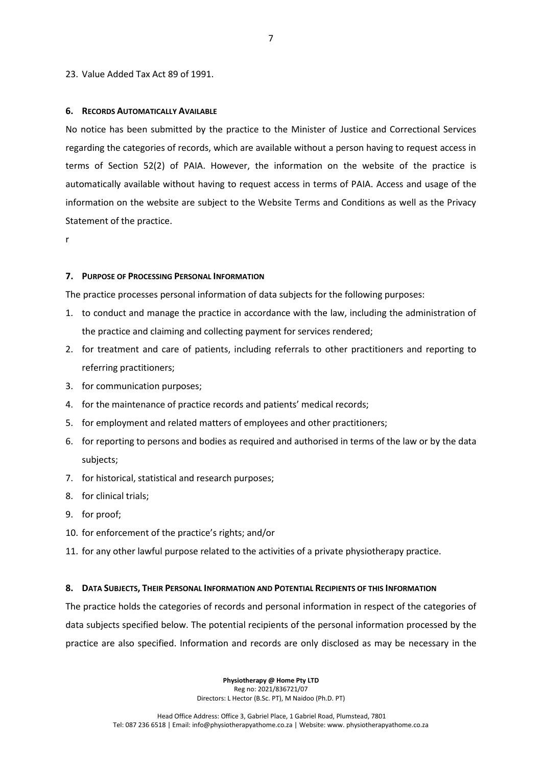## 23. Value Added Tax Act 89 of 1991.

#### <span id="page-6-0"></span>**6. RECORDS AUTOMATICALLY AVAILABLE**

No notice has been submitted by the practice to the Minister of Justice and Correctional Services regarding the categories of records, which are available without a person having to request access in terms of Section 52(2) of PAIA. However, the information on the website of the practice is automatically available without having to request access in terms of PAIA. Access and usage of the information on the website are subject to the Website Terms and Conditions as well as the Privacy Statement of the practice.

r

#### <span id="page-6-1"></span>**7. PURPOSE OF PROCESSING PERSONAL INFORMATION**

The practice processes personal information of data subjects for the following purposes:

- 1. to conduct and manage the practice in accordance with the law, including the administration of the practice and claiming and collecting payment for services rendered;
- 2. for treatment and care of patients, including referrals to other practitioners and reporting to referring practitioners;
- 3. for communication purposes;
- 4. for the maintenance of practice records and patients' medical records;
- 5. for employment and related matters of employees and other practitioners;
- 6. for reporting to persons and bodies as required and authorised in terms of the law or by the data subjects;
- 7. for historical, statistical and research purposes;
- 8. for clinical trials;
- 9. for proof;
- 10. for enforcement of the practice's rights; and/or
- 11. for any other lawful purpose related to the activities of a private physiotherapy practice.

#### <span id="page-6-2"></span>**8. DATA SUBJECTS, THEIR PERSONAL INFORMATION AND POTENTIAL RECIPIENTS OF THIS INFORMATION**

The practice holds the categories of records and personal information in respect of the categories of data subjects specified below. The potential recipients of the personal information processed by the practice are also specified. Information and records are only disclosed as may be necessary in the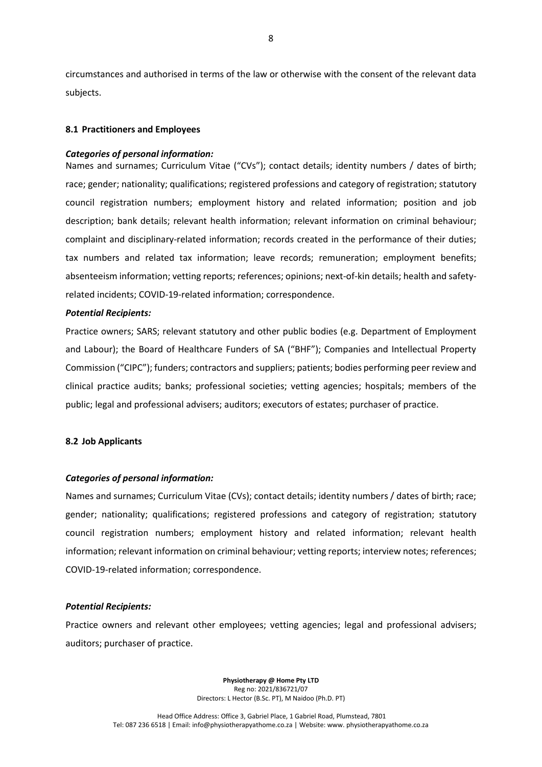circumstances and authorised in terms of the law or otherwise with the consent of the relevant data subjects.

# **8.1 Practitioners and Employees**

## *Categories of personal information:*

Names and surnames; Curriculum Vitae ("CVs"); contact details; identity numbers / dates of birth; race; gender; nationality; qualifications; registered professions and category of registration; statutory council registration numbers; employment history and related information; position and job description; bank details; relevant health information; relevant information on criminal behaviour; complaint and disciplinary-related information; records created in the performance of their duties; tax numbers and related tax information; leave records; remuneration; employment benefits; absenteeism information; vetting reports; references; opinions; next-of-kin details; health and safetyrelated incidents; COVID-19-related information; correspondence.

## *Potential Recipients:*

Practice owners; SARS; relevant statutory and other public bodies (e.g. Department of Employment and Labour); the Board of Healthcare Funders of SA ("BHF"); Companies and Intellectual Property Commission ("CIPC"); funders; contractors and suppliers; patients; bodies performing peer review and clinical practice audits; banks; professional societies; vetting agencies; hospitals; members of the public; legal and professional advisers; auditors; executors of estates; purchaser of practice.

## **8.2 Job Applicants**

## *Categories of personal information:*

Names and surnames; Curriculum Vitae (CVs); contact details; identity numbers / dates of birth; race; gender; nationality; qualifications; registered professions and category of registration; statutory council registration numbers; employment history and related information; relevant health information; relevant information on criminal behaviour; vetting reports; interview notes; references; COVID-19-related information; correspondence.

## *Potential Recipients:*

Practice owners and relevant other employees; vetting agencies; legal and professional advisers; auditors; purchaser of practice.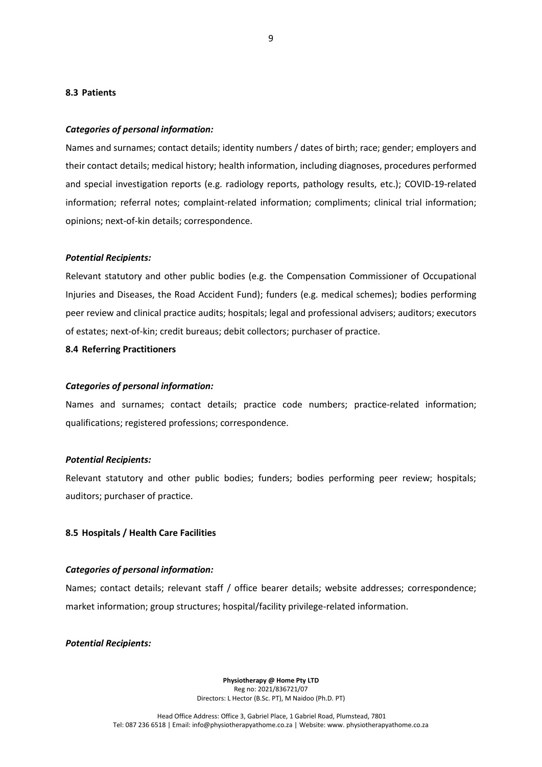#### **8.3 Patients**

#### *Categories of personal information:*

Names and surnames; contact details; identity numbers / dates of birth; race; gender; employers and their contact details; medical history; health information, including diagnoses, procedures performed and special investigation reports (e.g. radiology reports, pathology results, etc.); COVID-19-related information; referral notes; complaint-related information; compliments; clinical trial information; opinions; next-of-kin details; correspondence.

#### *Potential Recipients:*

Relevant statutory and other public bodies (e.g. the Compensation Commissioner of Occupational Injuries and Diseases, the Road Accident Fund); funders (e.g. medical schemes); bodies performing peer review and clinical practice audits; hospitals; legal and professional advisers; auditors; executors of estates; next-of-kin; credit bureaus; debit collectors; purchaser of practice.

**8.4 Referring Practitioners**

#### *Categories of personal information:*

Names and surnames; contact details; practice code numbers; practice-related information; qualifications; registered professions; correspondence.

#### *Potential Recipients:*

Relevant statutory and other public bodies; funders; bodies performing peer review; hospitals; auditors; purchaser of practice.

## **8.5 Hospitals / Health Care Facilities**

#### *Categories of personal information:*

Names; contact details; relevant staff / office bearer details; website addresses; correspondence; market information; group structures; hospital/facility privilege-related information.

*Potential Recipients:*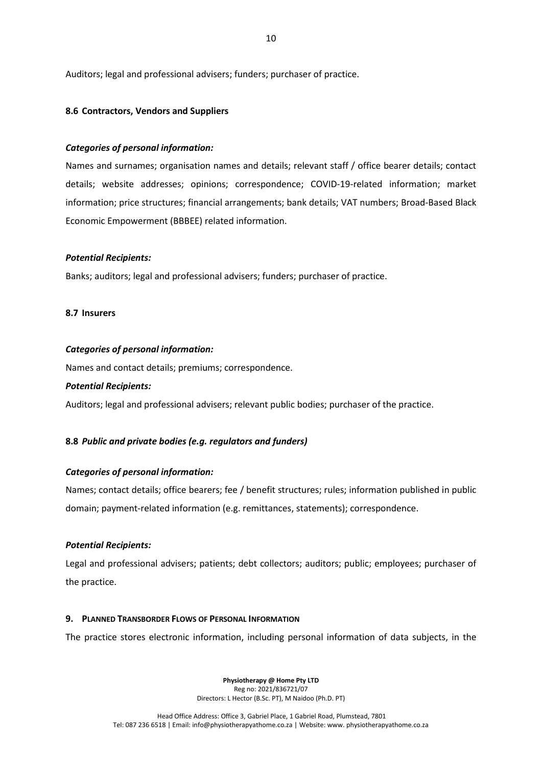Auditors; legal and professional advisers; funders; purchaser of practice.

# **8.6 Contractors, Vendors and Suppliers**

# *Categories of personal information:*

Names and surnames; organisation names and details; relevant staff / office bearer details; contact details; website addresses; opinions; correspondence; COVID-19-related information; market information; price structures; financial arrangements; bank details; VAT numbers; Broad-Based Black Economic Empowerment (BBBEE) related information.

# *Potential Recipients:*

Banks; auditors; legal and professional advisers; funders; purchaser of practice.

# **8.7 Insurers**

# *Categories of personal information:*

Names and contact details; premiums; correspondence.

# *Potential Recipients:*

Auditors; legal and professional advisers; relevant public bodies; purchaser of the practice.

# **8.8** *Public and private bodies (e.g. regulators and funders)*

# *Categories of personal information:*

Names; contact details; office bearers; fee / benefit structures; rules; information published in public domain; payment-related information (e.g. remittances, statements); correspondence.

# *Potential Recipients:*

Legal and professional advisers; patients; debt collectors; auditors; public; employees; purchaser of the practice.

# <span id="page-9-0"></span>**9. PLANNED TRANSBORDER FLOWS OF PERSONAL INFORMATION**

The practice stores electronic information, including personal information of data subjects, in the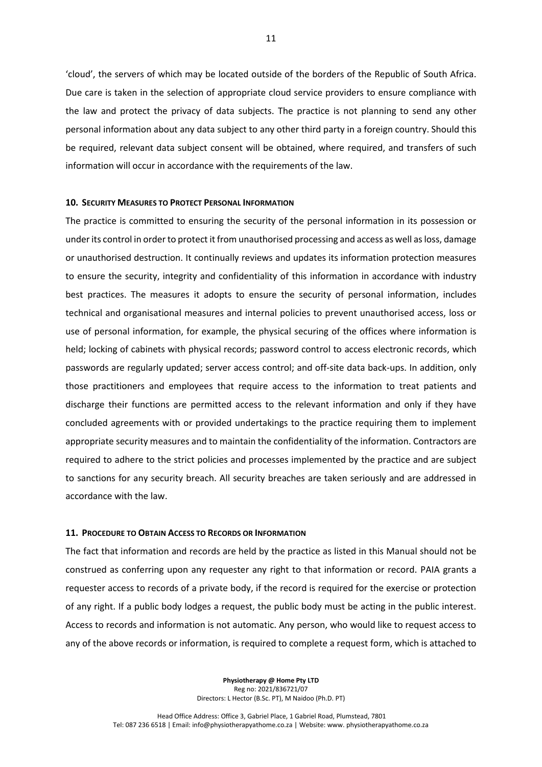'cloud', the servers of which may be located outside of the borders of the Republic of South Africa. Due care is taken in the selection of appropriate cloud service providers to ensure compliance with the law and protect the privacy of data subjects. The practice is not planning to send any other personal information about any data subject to any other third party in a foreign country. Should this be required, relevant data subject consent will be obtained, where required, and transfers of such information will occur in accordance with the requirements of the law.

#### <span id="page-10-0"></span>**10. SECURITY MEASURES TO PROTECT PERSONAL INFORMATION**

The practice is committed to ensuring the security of the personal information in its possession or under its control in order to protect it from unauthorised processing and access as well as loss, damage or unauthorised destruction. It continually reviews and updates its information protection measures to ensure the security, integrity and confidentiality of this information in accordance with industry best practices. The measures it adopts to ensure the security of personal information, includes technical and organisational measures and internal policies to prevent unauthorised access, loss or use of personal information, for example, the physical securing of the offices where information is held; locking of cabinets with physical records; password control to access electronic records, which passwords are regularly updated; server access control; and off-site data back-ups. In addition, only those practitioners and employees that require access to the information to treat patients and discharge their functions are permitted access to the relevant information and only if they have concluded agreements with or provided undertakings to the practice requiring them to implement appropriate security measures and to maintain the confidentiality of the information. Contractors are required to adhere to the strict policies and processes implemented by the practice and are subject to sanctions for any security breach. All security breaches are taken seriously and are addressed in accordance with the law.

## <span id="page-10-1"></span>**11. PROCEDURE TO OBTAIN ACCESS TO RECORDS OR INFORMATION**

The fact that information and records are held by the practice as listed in this Manual should not be construed as conferring upon any requester any right to that information or record. PAIA grants a requester access to records of a private body, if the record is required for the exercise or protection of any right. If a public body lodges a request, the public body must be acting in the public interest. Access to records and information is not automatic. Any person, who would like to request access to any of the above records or information, is required to complete a request form, which is attached to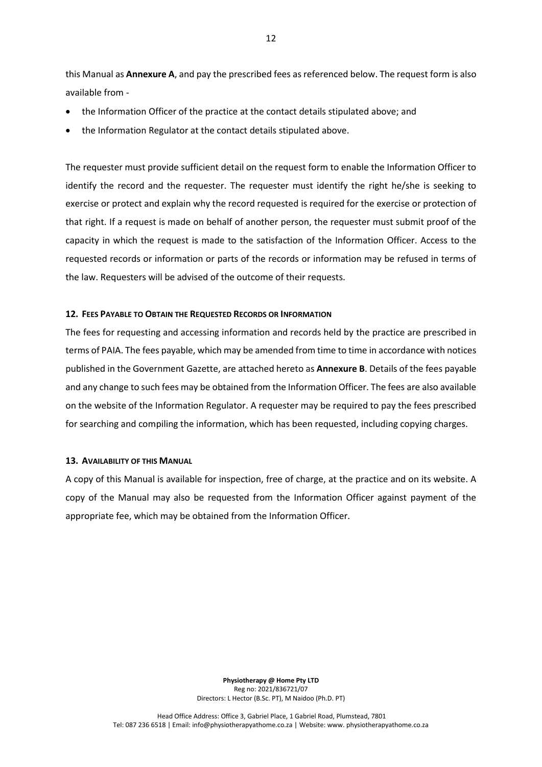this Manual as **Annexure A**, and pay the prescribed fees as referenced below. The request form is also available from -

- the Information Officer of the practice at the contact details stipulated above; and
- the Information Regulator at the contact details stipulated above.

The requester must provide sufficient detail on the request form to enable the Information Officer to identify the record and the requester. The requester must identify the right he/she is seeking to exercise or protect and explain why the record requested is required for the exercise or protection of that right. If a request is made on behalf of another person, the requester must submit proof of the capacity in which the request is made to the satisfaction of the Information Officer. Access to the requested records or information or parts of the records or information may be refused in terms of the law. Requesters will be advised of the outcome of their requests.

# <span id="page-11-0"></span>**12. FEES PAYABLE TO OBTAIN THE REQUESTED RECORDS OR INFORMATION**

The fees for requesting and accessing information and records held by the practice are prescribed in terms of PAIA. The fees payable, which may be amended from time to time in accordance with notices published in the Government Gazette, are attached hereto as **Annexure B**. Details of the fees payable and any change to such fees may be obtained from the Information Officer. The fees are also available on the website of the Information Regulator. A requester may be required to pay the fees prescribed for searching and compiling the information, which has been requested, including copying charges.

## <span id="page-11-1"></span>**13. AVAILABILITY OF THIS MANUAL**

A copy of this Manual is available for inspection, free of charge, at the practice and on its website. A copy of the Manual may also be requested from the Information Officer against payment of the appropriate fee, which may be obtained from the Information Officer.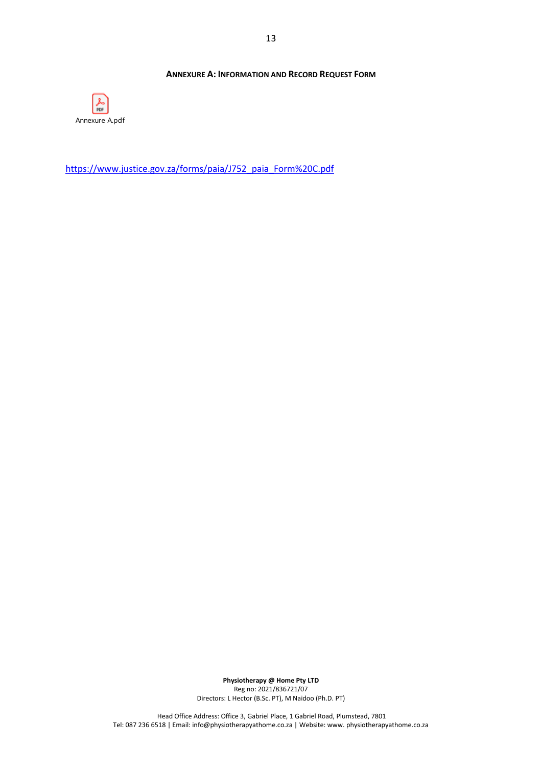# **ANNEXURE A: INFORMATION AND RECORD REQUEST FORM**

<span id="page-12-0"></span>

[https://www.justice.gov.za/forms/paia/J752\\_paia\\_Form%20C.pdf](https://www.justice.gov.za/forms/paia/J752_paia_Form%20C.pdf)